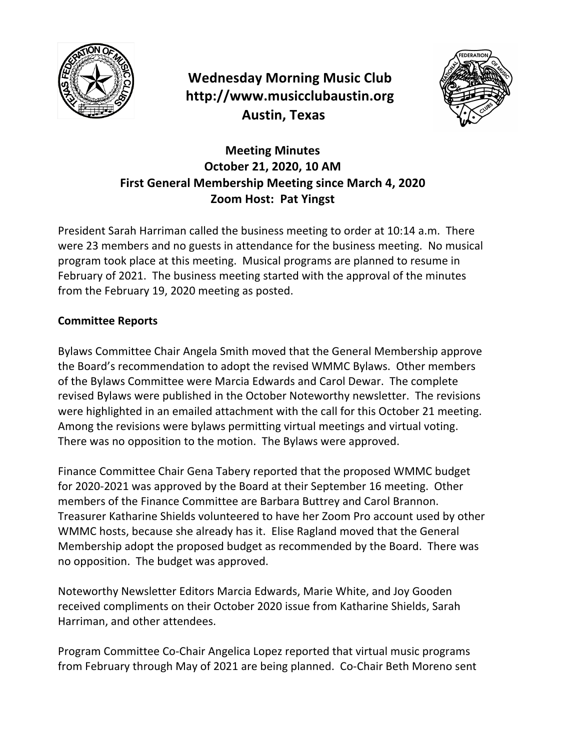

**Wednesday Morning Music Club http://www.musicclubaustin.org Austin, Texas**



## **Meeting Minutes October 21, 2020, 10 AM First General Membership Meeting since March 4, 2020 Zoom Host: Pat Yingst**

President Sarah Harriman called the business meeting to order at 10:14 a.m. There were 23 members and no guests in attendance for the business meeting. No musical program took place at this meeting. Musical programs are planned to resume in February of 2021. The business meeting started with the approval of the minutes from the February 19, 2020 meeting as posted.

## **Committee Reports**

Bylaws Committee Chair Angela Smith moved that the General Membership approve the Board's recommendation to adopt the revised WMMC Bylaws. Other members of the Bylaws Committee were Marcia Edwards and Carol Dewar. The complete revised Bylaws were published in the October Noteworthy newsletter. The revisions were highlighted in an emailed attachment with the call for this October 21 meeting. Among the revisions were bylaws permitting virtual meetings and virtual voting. There was no opposition to the motion. The Bylaws were approved.

Finance Committee Chair Gena Tabery reported that the proposed WMMC budget for 2020-2021 was approved by the Board at their September 16 meeting. Other members of the Finance Committee are Barbara Buttrey and Carol Brannon. Treasurer Katharine Shields volunteered to have her Zoom Pro account used by other WMMC hosts, because she already has it. Elise Ragland moved that the General Membership adopt the proposed budget as recommended by the Board. There was no opposition. The budget was approved.

Noteworthy Newsletter Editors Marcia Edwards, Marie White, and Joy Gooden received compliments on their October 2020 issue from Katharine Shields, Sarah Harriman, and other attendees.

Program Committee Co-Chair Angelica Lopez reported that virtual music programs from February through May of 2021 are being planned. Co-Chair Beth Moreno sent